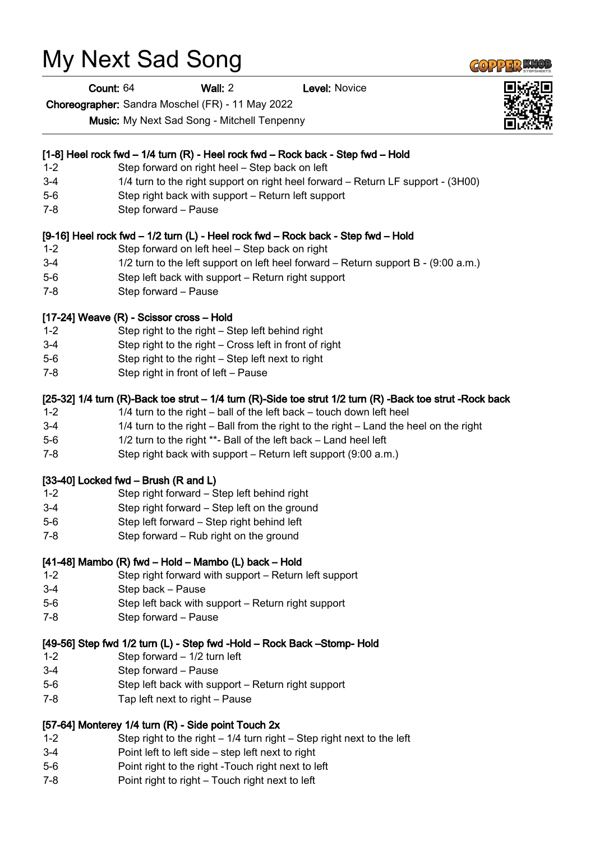# My Next Sad Song

Count: 64 Wall: 2 Level: Novice

Choreographer: Sandra Moschel (FR) - 11 May 2022

Music: My Next Sad Song - Mitchell Tenpenny

## [1-8] Heel rock fwd – 1/4 turn (R) - Heel rock fwd – Rock back - Step fwd – Hold

- 1-2 Step forward on right heel Step back on left
- 3-4 1/4 turn to the right support on right heel forward Return LF support (3H00)
- 5-6 Step right back with support Return left support
- 7-8 Step forward Pause

### [9-16] Heel rock fwd – 1/2 turn (L) - Heel rock fwd – Rock back - Step fwd – Hold

- 1-2 Step forward on left heel Step back on right
- 3-4 1/2 turn to the left support on left heel forward Return support B (9:00 a.m.)
- 5-6 Step left back with support Return right support
- 7-8 Step forward Pause

## [17-24] Weave (R) - Scissor cross – Hold

- 1-2 Step right to the right Step left behind right
- 3-4 Step right to the right Cross left in front of right
- 5-6 Step right to the right Step left next to right
- 7-8 Step right in front of left Pause

## [25-32] 1/4 turn (R)-Back toe strut – 1/4 turn (R)-Side toe strut 1/2 turn (R) -Back toe strut -Rock back

- 1-2 1/4 turn to the right ball of the left back touch down left heel
- 3-4 1/4 turn to the right Ball from the right to the right Land the heel on the right
- 5-6 1/2 turn to the right \*\*- Ball of the left back Land heel left
- 7-8 Step right back with support Return left support (9:00 a.m.)

### [33-40] Locked fwd – Brush (R and L)

- 1-2 Step right forward Step left behind right
- 3-4 Step right forward Step left on the ground
- 5-6 Step left forward Step right behind left
- 7-8 Step forward Rub right on the ground

### [41-48] Mambo (R) fwd – Hold – Mambo (L) back – Hold

- 1-2 Step right forward with support Return left support
- 3-4 Step back Pause
- 5-6 Step left back with support Return right support
- 7-8 Step forward Pause

### [49-56] Step fwd 1/2 turn (L) - Step fwd -Hold – Rock Back –Stomp- Hold

- 1-2 Step forward 1/2 turn left
- 3-4 Step forward Pause
- 5-6 Step left back with support Return right support
- 7-8 Tap left next to right Pause

## [57-64] Monterey 1/4 turn (R) - Side point Touch 2x

- 1-2 Step right to the right 1/4 turn right Step right next to the left
- 3-4 Point left to left side step left next to right
- 5-6 Point right to the right -Touch right next to left
- 7-8 Point right to right Touch right next to left